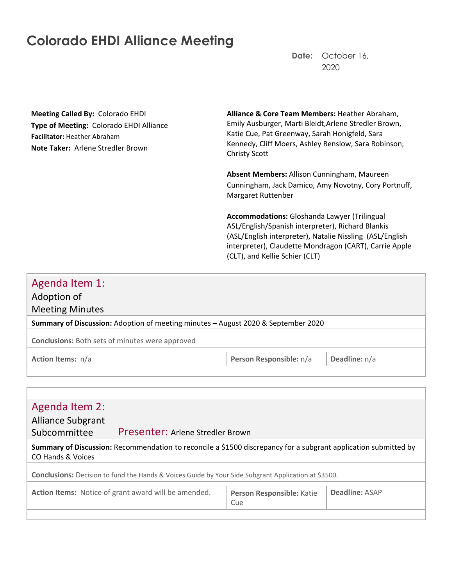# **Colorado EHDI Alliance Meeting**

**Date:** October 16, 2020

**Meeting Called By:** Colorado EHDI **Type of Meeting:** Colorado EHDI Alliance **Facilitator:** Heather Abraham **Note Taker:** Arlene Stredler Brown

**Alliance & Core Team Members:** Heather Abraham, Emily Ausburger, Marti Bleidt,Arlene Stredler Brown, Katie Cue, Pat Greenway, Sarah Honigfeld, Sara Kennedy, Cliff Moers, Ashley Renslow, Sara Robinson, Christy Scott

**Absent Members:** Allison Cunningham, Maureen Cunningham, Jack Damico, Amy Novotny, Cory Portnuff, Margaret Ruttenber

**Accommodations:** Gloshanda Lawyer (Trilingual ASL/English/Spanish interpreter), Richard Blankis (ASL/English interpreter), Natalie Nissling (ASL/English interpreter), Claudette Mondragon (CART), Carrie Apple (CLT), and Kellie Schier (CLT)

## Agenda Item 1:

Adoption of

Meeting Minutes

**Summary of Discussion:** Adoption of meeting minutes – August 2020 & September 2020

**Conclusions:** Both sets of minutes were approved

**Action Items:**  $n/a$  **Person Responsible:**  $n/a$  **Deadline:**  $n/a$ 

| Agenda Item 2:                                                                                                                       |                                  |                           |                       |
|--------------------------------------------------------------------------------------------------------------------------------------|----------------------------------|---------------------------|-----------------------|
| <b>Alliance Subgrant</b>                                                                                                             |                                  |                           |                       |
| Subcommittee                                                                                                                         | Presenter: Arlene Stredler Brown |                           |                       |
| Summary of Discussion: Recommendation to reconcile a \$1500 discrepancy for a subgrant application submitted by<br>CO Hands & Voices |                                  |                           |                       |
| <b>Conclusions:</b> Decision to fund the Hands & Voices Guide by Your Side Subgrant Application at \$3500.                           |                                  |                           |                       |
|                                                                                                                                      |                                  |                           |                       |
| Action Items: Notice of grant award will be amended.                                                                                 |                                  | Person Responsible: Katie | <b>Deadline: ASAP</b> |
|                                                                                                                                      |                                  | Cue                       |                       |
|                                                                                                                                      |                                  |                           |                       |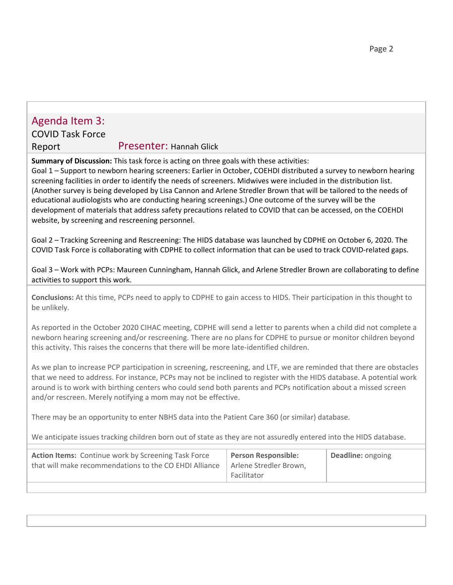## Agenda Item 3:

# COVID Task Force

Report Presenter: Hannah Glick

**Summary of Discussion:** This task force is acting on three goals with these activities:

Goal 1 – Support to newborn hearing screeners: Earlier in October, COEHDI distributed a survey to newborn hearing screening facilities in order to identify the needs of screeners. Midwives were included in the distribution list. (Another survey is being developed by Lisa Cannon and Arlene Stredler Brown that will be tailored to the needs of educational audiologists who are conducting hearing screenings.) One outcome of the survey will be the development of materials that address safety precautions related to COVID that can be accessed, on the COEHDI website, by screening and rescreening personnel.

Goal 2 – Tracking Screening and Rescreening: The HIDS database was launched by CDPHE on October 6, 2020. The COVID Task Force is collaborating with CDPHE to collect information that can be used to track COVID-related gaps.

Goal 3 – Work with PCPs: Maureen Cunningham, Hannah Glick, and Arlene Stredler Brown are collaborating to define activities to support this work.

**Conclusions:** At this time, PCPs need to apply to CDPHE to gain access to HIDS. Their participation in this thought to be unlikely.

As reported in the October 2020 CIHAC meeting, CDPHE will send a letter to parents when a child did not complete a newborn hearing screening and/or rescreening. There are no plans for CDPHE to pursue or monitor children beyond this activity. This raises the concerns that there will be more late-identified children.

As we plan to increase PCP participation in screening, rescreening, and LTF, we are reminded that there are obstacles that we need to address. For instance, PCPs may not be inclined to register with the HIDS database. A potential work around is to work with birthing centers who could send both parents and PCPs notification about a missed screen and/or rescreen. Merely notifying a mom may not be effective.

There may be an opportunity to enter NBHS data into the Patient Care 360 (or similar) database.

We anticipate issues tracking children born out of state as they are not assuredly entered into the HIDS database.

| <b>Action Items:</b> Continue work by Screening Task Force<br>that will make recommendations to the CO EHDI Alliance | <b>Person Responsible:</b><br>Arlene Stredler Brown.<br>Facilitator | <b>Deadline:</b> ongoing |
|----------------------------------------------------------------------------------------------------------------------|---------------------------------------------------------------------|--------------------------|
|                                                                                                                      |                                                                     |                          |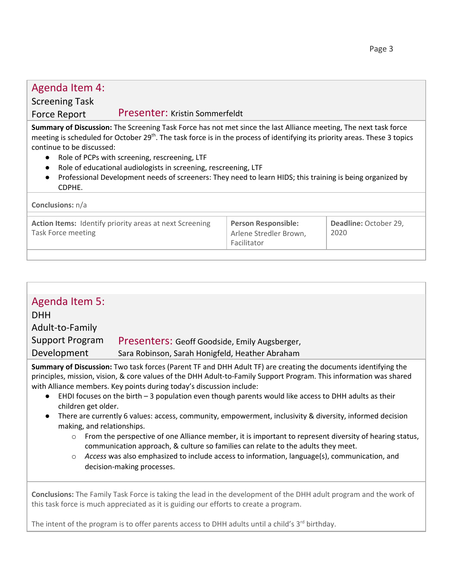#### Agenda Item 4: Screening Task Force Report Presenter: Kristin Sommerfeldt **Summary of Discussion:** The Screening Task Force has not met since the last Alliance meeting, The next task force meeting is scheduled for October 29<sup>th</sup>. The task force is in the process of identifying its priority areas. These 3 topics continue to be discussed: ● Role of PCPs with screening, rescreening, LTF ● Role of educational audiologists in screening, rescreening, LTF ● Professional Development needs of screeners: They need to learn HIDS; this training is being organized by CDPHE. **Conclusions:** n/a **Action Items:** Identify priority areas at next Screening Task Force meeting **Person Responsible:** Arlene Stredler Brown, Facilitator **Deadline:** October 29, 2020

| Agenda Item 5:                                                                                                        |                                                 |  |
|-----------------------------------------------------------------------------------------------------------------------|-------------------------------------------------|--|
| <b>DHH</b>                                                                                                            |                                                 |  |
| Adult-to-Family                                                                                                       |                                                 |  |
| Support Program                                                                                                       | Presenters: Geoff Goodside, Emily Augsberger,   |  |
| Development                                                                                                           | Sara Robinson, Sarah Honigfeld, Heather Abraham |  |
| <b>Summary of Discussion:</b> Two task forces (Parent TF and DHH Adult TF) are creating the documents identifying the |                                                 |  |

**Summary of Discussion:** Two task forces (Parent TF and DHH Adult TF) are creating the documents identifying the principles, mission, vision, & core values of the DHH Adult-to-Family Support Program. This information was shared with Alliance members. Key points during today's discussion include:

- EHDI focuses on the birth  $-3$  population even though parents would like access to DHH adults as their children get older.
- There are currently 6 values: access, community, empowerment, inclusivity & diversity, informed decision making, and relationships.
	- $\circ$  From the perspective of one Alliance member, it is important to represent diversity of hearing status, communication approach, & culture so families can relate to the adults they meet.
	- o *Access* was also emphasized to include access to information, language(s), communication, and decision-making processes.

**Conclusions:** The Family Task Force is taking the lead in the development of the DHH adult program and the work of this task force is much appreciated as it is guiding our efforts to create a program.

The intent of the program is to offer parents access to DHH adults until a child's 3<sup>rd</sup> birthday.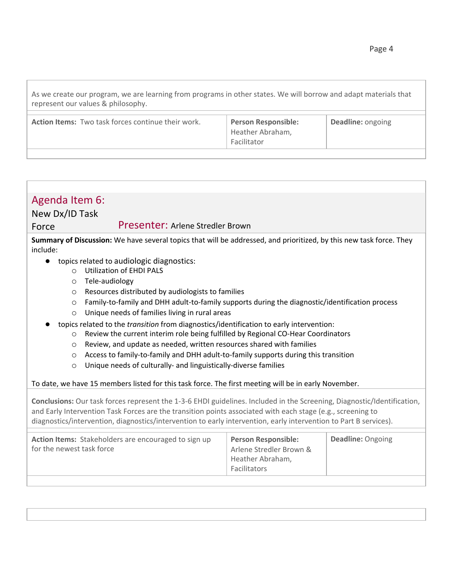As we create our program, we are learning from programs in other states. We will borrow and adapt materials that represent our values & philosophy.

| Action Items: Two task forces continue their work. | <b>Person Responsible:</b><br>Heather Abraham,<br>Facilitator | <b>Deadline: ongoing</b> |
|----------------------------------------------------|---------------------------------------------------------------|--------------------------|
|                                                    |                                                               |                          |

| Agenda Item 6:<br>New Dx/ID Task                                                                                                                                                                                                                                                                                                                            |                                                                                           |                   |  |
|-------------------------------------------------------------------------------------------------------------------------------------------------------------------------------------------------------------------------------------------------------------------------------------------------------------------------------------------------------------|-------------------------------------------------------------------------------------------|-------------------|--|
| Presenter: Arlene Stredler Brown<br>Force                                                                                                                                                                                                                                                                                                                   |                                                                                           |                   |  |
| Summary of Discussion: We have several topics that will be addressed, and prioritized, by this new task force. They<br>include:                                                                                                                                                                                                                             |                                                                                           |                   |  |
| topics related to audiologic diagnostics:<br><b>Utilization of EHDI PALS</b><br>$\bigcap$<br>Tele-audiology<br>$\circ$                                                                                                                                                                                                                                      |                                                                                           |                   |  |
| Resources distributed by audiologists to families<br>$\circ$<br>Family-to-family and DHH adult-to-family supports during the diagnostic/identification process<br>$\circ$<br>Unique needs of families living in rural areas<br>$\circ$                                                                                                                      |                                                                                           |                   |  |
| topics related to the <i>transition</i> from diagnostics/identification to early intervention:<br>Review the current interim role being fulfilled by Regional CO-Hear Coordinators<br>$\circ$<br>Review, and update as needed, written resources shared with families<br>$\circ$                                                                            |                                                                                           |                   |  |
| Access to family-to-family and DHH adult-to-family supports during this transition<br>$\circ$<br>Unique needs of culturally- and linguistically-diverse families<br>$\circ$                                                                                                                                                                                 |                                                                                           |                   |  |
| To date, we have 15 members listed for this task force. The first meeting will be in early November.                                                                                                                                                                                                                                                        |                                                                                           |                   |  |
| Conclusions: Our task forces represent the 1-3-6 EHDI guidelines. Included in the Screening, Diagnostic/Identification,<br>and Early Intervention Task Forces are the transition points associated with each stage (e.g., screening to<br>diagnostics/intervention, diagnostics/intervention to early intervention, early intervention to Part B services). |                                                                                           |                   |  |
| Action Items: Stakeholders are encouraged to sign up<br>for the newest task force                                                                                                                                                                                                                                                                           | <b>Person Responsible:</b><br>Arlene Stredler Brown &<br>Heather Abraham,<br>Facilitators | Deadline: Ongoing |  |
|                                                                                                                                                                                                                                                                                                                                                             |                                                                                           |                   |  |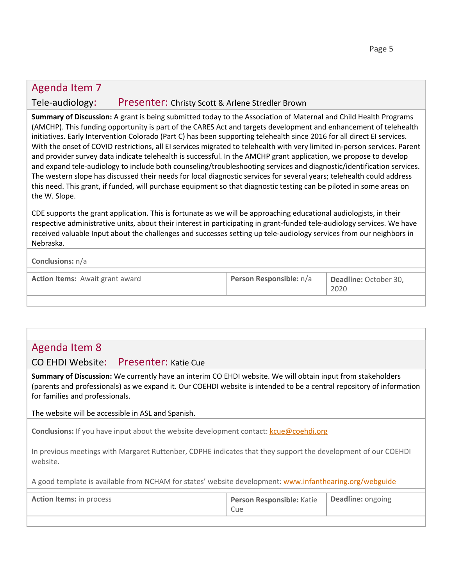## Agenda Item 7 Tele-audiology: Presenter: Christy Scott & Arlene Stredler Brown

**Summary of Discussion:** A grant is being submitted today to the Association of Maternal and Child Health Programs (AMCHP). This funding opportunity is part of the CARES Act and targets development and enhancement of telehealth initiatives. Early Intervention Colorado (Part C) has been supporting telehealth since 2016 for all direct EI services. With the onset of COVID restrictions, all EI services migrated to telehealth with very limited in-person services. Parent and provider survey data indicate telehealth is successful. In the AMCHP grant application, we propose to develop and expand tele-audiology to include both counseling/troubleshooting services and diagnostic/identification services. The western slope has discussed their needs for local diagnostic services for several years; telehealth could address this need. This grant, if funded, will purchase equipment so that diagnostic testing can be piloted in some areas on the W. Slope.

CDE supports the grant application. This is fortunate as we will be approaching educational audiologists, in their respective administrative units, about their interest in participating in grant-funded tele-audiology services. We have received valuable Input about the challenges and successes setting up tele-audiology services from our neighbors in Nebraska.

#### **Conclusions:** n/a

| <b>Action Items:</b> Await grant award | Person Responsible: n/a | Deadline: October 30, |
|----------------------------------------|-------------------------|-----------------------|
|                                        |                         | 2020                  |

### Agenda Item 8

CO EHDI Website: Presenter: Katie Cue

**Summary of Discussion:** We currently have an interim CO EHDI website. We will obtain input from stakeholders (parents and professionals) as we expand it. Our COEHDI website is intended to be a central repository of information for families and professionals.

The website will be accessible in ASL and Spanish.

**Conclusions:** If you have input about the website development contact: [kcue@coehdi.org](mailto:kcue@coehdi.org)

In previous meetings with Margaret Ruttenber, CDPHE indicates that they support the development of our COEHDI website.

A good template is available from NCHAM for states' website development: [www.infanthearing.org/webguide](http://www.infanthearing.org/webguide)

| <b>Action Items:</b> in process | Person Responsible: Katie   Deadline: ongoing<br>Cue |  |
|---------------------------------|------------------------------------------------------|--|
|                                 |                                                      |  |